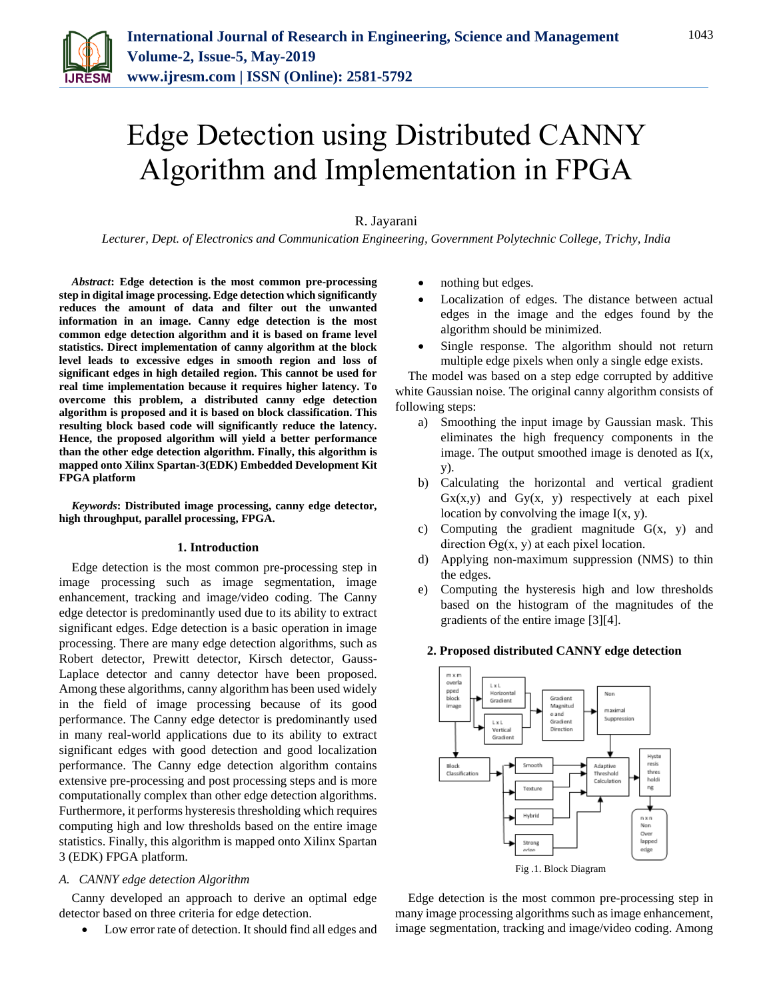

# Edge Detection using Distributed CANNY Algorithm and Implementation in FPGA

# R. Jayarani

*Lecturer, Dept. of Electronics and Communication Engineering, Government Polytechnic College, Trichy, India*

*Abstract***: Edge detection is the most common pre-processing step in digital image processing. Edge detection which significantly reduces the amount of data and filter out the unwanted information in an image. Canny edge detection is the most common edge detection algorithm and it is based on frame level statistics. Direct implementation of canny algorithm at the block level leads to excessive edges in smooth region and loss of significant edges in high detailed region. This cannot be used for real time implementation because it requires higher latency. To overcome this problem, a distributed canny edge detection algorithm is proposed and it is based on block classification. This resulting block based code will significantly reduce the latency. Hence, the proposed algorithm will yield a better performance than the other edge detection algorithm. Finally, this algorithm is mapped onto Xilinx Spartan-3(EDK) Embedded Development Kit FPGA platform**

*Keywords***: Distributed image processing, canny edge detector, high throughput, parallel processing, FPGA.**

## **1. Introduction**

Edge detection is the most common pre-processing step in image processing such as image segmentation, image enhancement, tracking and image/video coding. The Canny edge detector is predominantly used due to its ability to extract significant edges. Edge detection is a basic operation in image processing. There are many edge detection algorithms, such as Robert detector, Prewitt detector, Kirsch detector, Gauss-Laplace detector and canny detector have been proposed. Among these algorithms, canny algorithm has been used widely in the field of image processing because of its good performance. The Canny edge detector is predominantly used in many real-world applications due to its ability to extract significant edges with good detection and good localization performance. The Canny edge detection algorithm contains extensive pre-processing and post processing steps and is more computationally complex than other edge detection algorithms. Furthermore, it performs hysteresis thresholding which requires computing high and low thresholds based on the entire image statistics. Finally, this algorithm is mapped onto Xilinx Spartan 3 (EDK) FPGA platform.

#### *A. CANNY edge detection Algorithm*

Canny developed an approach to derive an optimal edge detector based on three criteria for edge detection.

Low error rate of detection. It should find all edges and

- nothing but edges.
- Localization of edges. The distance between actual edges in the image and the edges found by the algorithm should be minimized.
- Single response. The algorithm should not return multiple edge pixels when only a single edge exists.

The model was based on a step edge corrupted by additive white Gaussian noise. The original canny algorithm consists of following steps:

- a) Smoothing the input image by Gaussian mask. This eliminates the high frequency components in the image. The output smoothed image is denoted as  $I(x)$ , y).
- b) Calculating the horizontal and vertical gradient  $Gx(x,y)$  and  $Gy(x, y)$  respectively at each pixel location by convolving the image  $I(x, y)$ .
- c) Computing the gradient magnitude  $G(x, y)$  and direction  $\Theta$ g(x, y) at each pixel location.
- d) Applying non-maximum suppression (NMS) to thin the edges.
- e) Computing the hysteresis high and low thresholds based on the histogram of the magnitudes of the gradients of the entire image [3][4].



**2. Proposed distributed CANNY edge detection**

Edge detection is the most common pre-processing step in many image processing algorithms such as image enhancement, image segmentation, tracking and image/video coding. Among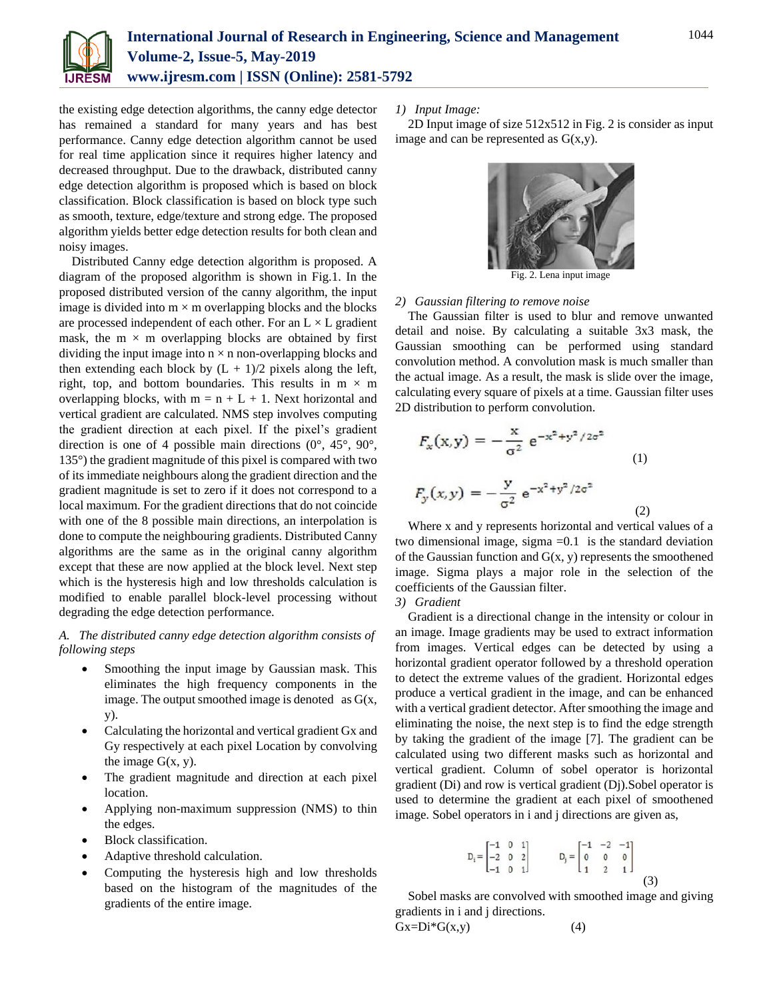

the existing edge detection algorithms, the canny edge detector has remained a standard for many years and has best performance. Canny edge detection algorithm cannot be used for real time application since it requires higher latency and decreased throughput. Due to the drawback, distributed canny edge detection algorithm is proposed which is based on block classification. Block classification is based on block type such as smooth, texture, edge/texture and strong edge. The proposed algorithm yields better edge detection results for both clean and noisy images.

Distributed Canny edge detection algorithm is proposed. A diagram of the proposed algorithm is shown in Fig.1. In the proposed distributed version of the canny algorithm, the input image is divided into  $m \times m$  overlapping blocks and the blocks are processed independent of each other. For an  $L \times L$  gradient mask, the  $m \times m$  overlapping blocks are obtained by first dividing the input image into  $n \times n$  non-overlapping blocks and then extending each block by  $(L + 1)/2$  pixels along the left, right, top, and bottom boundaries. This results in  $m \times m$ overlapping blocks, with  $m = n + L + 1$ . Next horizontal and vertical gradient are calculated. NMS step involves computing the gradient direction at each pixel. If the pixel's gradient direction is one of 4 possible main directions (0°, 45°, 90°, 135°) the gradient magnitude of this pixel is compared with two of its immediate neighbours along the gradient direction and the gradient magnitude is set to zero if it does not correspond to a local maximum. For the gradient directions that do not coincide with one of the 8 possible main directions, an interpolation is done to compute the neighbouring gradients. Distributed Canny algorithms are the same as in the original canny algorithm except that these are now applied at the block level. Next step which is the hysteresis high and low thresholds calculation is modified to enable parallel block-level processing without degrading the edge detection performance.

## *A. The distributed canny edge detection algorithm consists of following steps*

- Smoothing the input image by Gaussian mask. This eliminates the high frequency components in the image. The output smoothed image is denoted as  $G(x)$ , y).
- Calculating the horizontal and vertical gradient Gx and Gy respectively at each pixel Location by convolving the image  $G(x, y)$ .
- The gradient magnitude and direction at each pixel location.
- Applying non-maximum suppression (NMS) to thin the edges.
- Block classification.
- Adaptive threshold calculation.
- Computing the hysteresis high and low thresholds based on the histogram of the magnitudes of the gradients of the entire image.

## *1) Input Image:*

2D Input image of size 512x512 in Fig. 2 is consider as input image and can be represented as  $G(x,y)$ .



Fig. 2. Lena input image

## *2) Gaussian filtering to remove noise*

The Gaussian filter is used to blur and remove unwanted detail and noise. By calculating a suitable 3x3 mask, the Gaussian smoothing can be performed using standard convolution method. A convolution mask is much smaller than the actual image. As a result, the mask is slide over the image, calculating every square of pixels at a time. Gaussian filter uses 2D distribution to perform convolution.

$$
F_x(x,y) = -\frac{x}{\sigma^2} e^{-x^2 + y^2/2\sigma^2}
$$
  
(1)  

$$
F_y(x,y) = -\frac{y}{\sigma^2} e^{-x^2 + y^2/2\sigma^2}
$$
  
(2)

Where x and y represents horizontal and vertical values of a two dimensional image, sigma  $=0.1$  is the standard deviation of the Gaussian function and  $G(x, y)$  represents the smoothened image. Sigma plays a major role in the selection of the coefficients of the Gaussian filter.

*3) Gradient*

Gradient is a directional change in the intensity or colour in an image. Image gradients may be used to extract information from images. Vertical edges can be detected by using a horizontal gradient operator followed by a threshold operation to detect the extreme values of the gradient. Horizontal edges produce a vertical gradient in the image, and can be enhanced with a vertical gradient detector. After smoothing the image and eliminating the noise, the next step is to find the edge strength by taking the gradient of the image [7]. The gradient can be calculated using two different masks such as horizontal and vertical gradient. Column of sobel operator is horizontal gradient (Di) and row is vertical gradient (Dj).Sobel operator is used to determine the gradient at each pixel of smoothened image. Sobel operators in i and j directions are given as,

$$
D_i = \begin{bmatrix} -1 & 0 & 1 \\ -2 & 0 & 2 \\ -1 & 0 & 1 \end{bmatrix} \qquad D_j = \begin{bmatrix} -1 & -2 & -1 \\ 0 & 0 & 0 \\ 1 & 2 & 1 \end{bmatrix} \tag{3}
$$

Sobel masks are convolved with smoothed image and giving gradients in i and j directions.  $Gx=Di*G(x,y)$  (4)

$$
1044\,
$$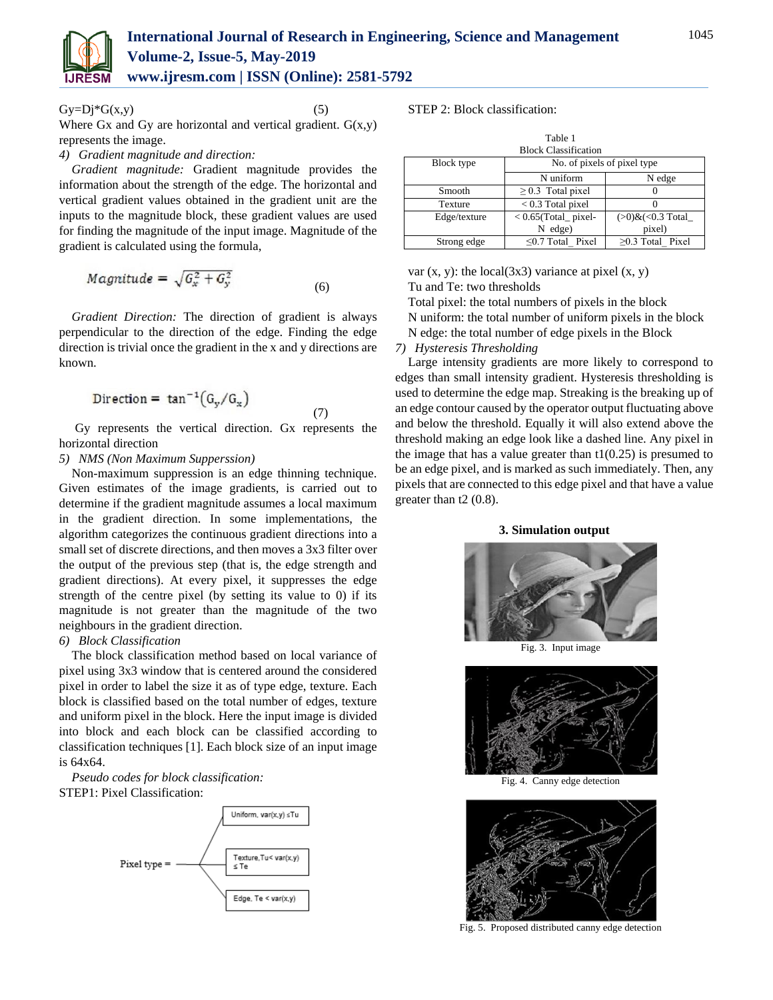

Where Gx and Gy are horizontal and vertical gradient.  $G(x,y)$ represents the image.

 $Gy=Dj*G(x,y)$  (5)

## *4) Gradient magnitude and direction:*

*Gradient magnitude:* Gradient magnitude provides the information about the strength of the edge. The horizontal and vertical gradient values obtained in the gradient unit are the inputs to the magnitude block, these gradient values are used for finding the magnitude of the input image. Magnitude of the gradient is calculated using the formula,

$$
Magnitude = \sqrt{G_x^2 + G_y^2}
$$
 (6)

*Gradient Direction:* The direction of gradient is always perpendicular to the direction of the edge. Finding the edge direction is trivial once the gradient in the x and y directions are known.

$$
Direction = \tan^{-1}(G_y/G_x)
$$
\n(7)

Gy represents the vertical direction. Gx represents the horizontal direction

## *5) NMS (Non Maximum Supperssion)*

Non-maximum suppression is an edge thinning technique. Given estimates of the image gradients, is carried out to determine if the gradient magnitude assumes a local maximum in the gradient direction. In some implementations, the algorithm categorizes the continuous gradient directions into a small set of discrete directions, and then moves a 3x3 filter over the output of the previous step (that is, the edge strength and gradient directions). At every pixel, it suppresses the edge strength of the centre pixel (by setting its value to 0) if its magnitude is not greater than the magnitude of the two neighbours in the gradient direction.

# *6) Block Classification*

The block classification method based on local variance of pixel using 3x3 window that is centered around the considered pixel in order to label the size it as of type edge, texture. Each block is classified based on the total number of edges, texture and uniform pixel in the block. Here the input image is divided into block and each block can be classified according to classification techniques [1]. Each block size of an input image is 64x64.

*Pseudo codes for block classification:* STEP1: Pixel Classification:



STEP 2: Block classification:

| Table 1<br><b>Block Classification</b> |                             |                        |  |
|----------------------------------------|-----------------------------|------------------------|--|
| Block type                             | No. of pixels of pixel type |                        |  |
|                                        | N uniform                   | N edge                 |  |
| Smooth                                 | $\geq$ 0.3 Total pixel      | $\mathbf{\Omega}$      |  |
| Texture                                | $< 0.3$ Total pixel         |                        |  |
| Edge/texture                           | $< 0.65$ (Total_ pixel-     | $(>0)$ & $(<0.3$ Total |  |
|                                        | $N$ edge)                   | pixel)                 |  |
| Strong edge                            | $\leq$ 0.7 Total Pixel      | $>0.3$ Total Pixel     |  |

var  $(x, y)$ : the local $(3x3)$  variance at pixel  $(x, y)$ Tu and Te: two thresholds

Total pixel: the total numbers of pixels in the block N uniform: the total number of uniform pixels in the block N edge: the total number of edge pixels in the Block

## *7) Hysteresis Thresholding*

Large intensity gradients are more likely to correspond to edges than small intensity gradient. Hysteresis thresholding is used to determine the edge map. Streaking is the breaking up of an edge contour caused by the operator output fluctuating above and below the threshold. Equally it will also extend above the threshold making an edge look like a dashed line. Any pixel in the image that has a value greater than  $t1(0.25)$  is presumed to be an edge pixel, and is marked as such immediately. Then, any pixels that are connected to this edge pixel and that have a value greater than t2 (0.8).

## **3. Simulation output**



Fig. 3. Input image



Fig. 4. Canny edge detection



Fig. 5. Proposed distributed canny edge detection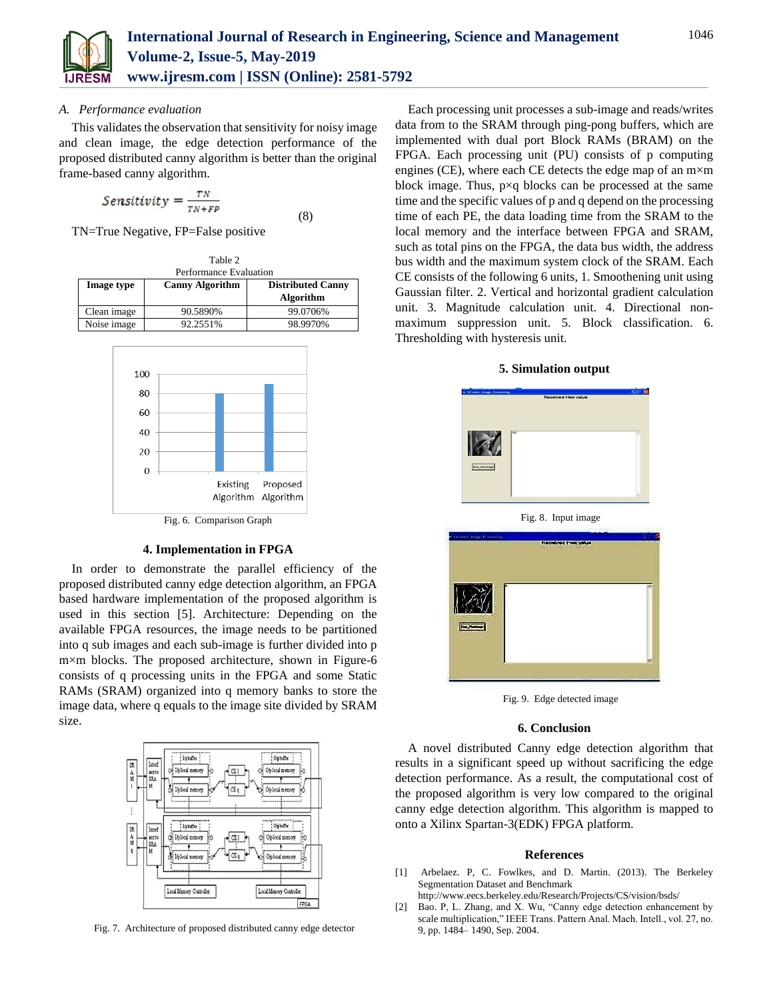

## *A. Performance evaluation*

This validates the observation that sensitivity for noisy image and clean image, the edge detection performance of the proposed distributed canny algorithm is better than the original frame-based canny algorithm.

$$
Sensitivity = \frac{TN}{TN+FP}
$$
\n(8)

TN=True Negative, FP=False positive

| Table 2                |                        |                          |  |
|------------------------|------------------------|--------------------------|--|
| Performance Evaluation |                        |                          |  |
| <b>Image type</b>      | <b>Canny Algorithm</b> | <b>Distributed Canny</b> |  |
|                        |                        | Algorithm                |  |
| Clean image            | 90.5890%               | 99.0706%                 |  |
| Noise image            | 92.2551%               | 98.9970%                 |  |



# Fig. 6. Comparison Graph

## **4. Implementation in FPGA**

In order to demonstrate the parallel efficiency of the proposed distributed canny edge detection algorithm, an FPGA based hardware implementation of the proposed algorithm is used in this section [5]. Architecture: Depending on the available FPGA resources, the image needs to be partitioned into q sub images and each sub-image is further divided into p m×m blocks. The proposed architecture, shown in Figure-6 consists of q processing units in the FPGA and some Static RAMs (SRAM) organized into q memory banks to store the image data, where q equals to the image site divided by SRAM size.



Fig. 7. Architecture of proposed distributed canny edge detector

Each processing unit processes a sub-image and reads/writes data from to the SRAM through ping-pong buffers, which are implemented with dual port Block RAMs (BRAM) on the FPGA. Each processing unit (PU) consists of p computing engines (CE), where each CE detects the edge map of an  $m \times m$ block image. Thus, p×q blocks can be processed at the same time and the specific values of p and q depend on the processing time of each PE, the data loading time from the SRAM to the local memory and the interface between FPGA and SRAM, such as total pins on the FPGA, the data bus width, the address bus width and the maximum system clock of the SRAM. Each CE consists of the following 6 units, 1. Smoothening unit using Gaussian filter. 2. Vertical and horizontal gradient calculation unit. 3. Magnitude calculation unit. 4. Directional nonmaximum suppression unit. 5. Block classification. 6. Thresholding with hysteresis unit.

#### **5. Simulation output**



Fig. 9. Edge detected image

#### **6. Conclusion**

A novel distributed Canny edge detection algorithm that results in a significant speed up without sacrificing the edge detection performance. As a result, the computational cost of the proposed algorithm is very low compared to the original canny edge detection algorithm. This algorithm is mapped to onto a Xilinx Spartan-3(EDK) FPGA platform.

#### **References**

- [1] Arbelaez. P, C. Fowlkes, and D. Martin. (2013). The Berkeley Segmentation Dataset and Benchmark http://www.eecs.berkeley.edu/Research/Projects/CS/vision/bsds/
- [2] Bao. P, L. Zhang, and X. Wu, "Canny edge detection enhancement by scale multiplication," IEEE Trans. Pattern Anal. Mach. Intell., vol. 27, no. 9, pp. 1484– 1490, Sep. 2004.